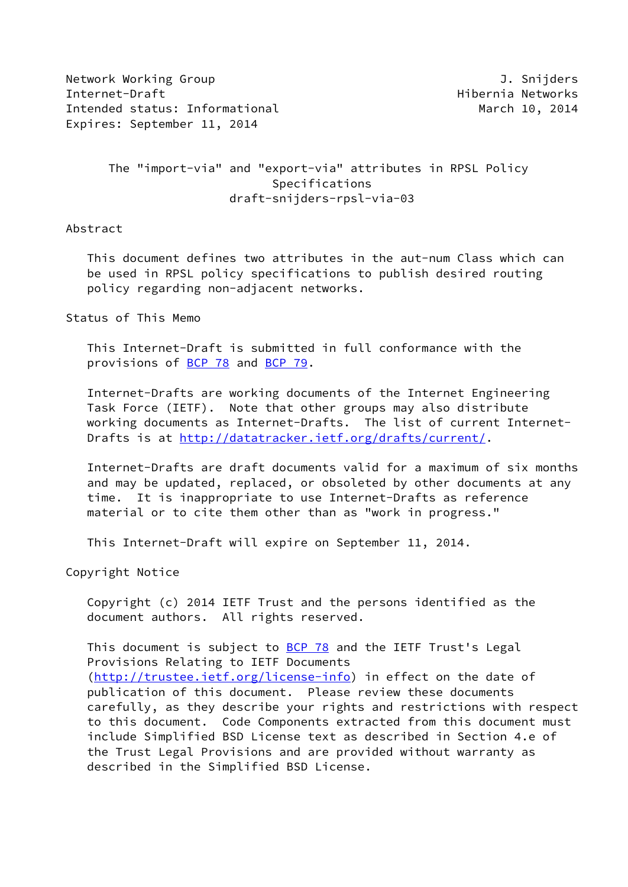Network Working Group J. Snijders Internet-Draft **Hibernia Networks** Intended status: Informational March 10, 2014 Expires: September 11, 2014

# The "import-via" and "export-via" attributes in RPSL Policy Specifications draft-snijders-rpsl-via-03

Abstract

 This document defines two attributes in the aut-num Class which can be used in RPSL policy specifications to publish desired routing policy regarding non-adjacent networks.

Status of This Memo

 This Internet-Draft is submitted in full conformance with the provisions of [BCP 78](https://datatracker.ietf.org/doc/pdf/bcp78) and [BCP 79](https://datatracker.ietf.org/doc/pdf/bcp79).

 Internet-Drafts are working documents of the Internet Engineering Task Force (IETF). Note that other groups may also distribute working documents as Internet-Drafts. The list of current Internet Drafts is at<http://datatracker.ietf.org/drafts/current/>.

 Internet-Drafts are draft documents valid for a maximum of six months and may be updated, replaced, or obsoleted by other documents at any time. It is inappropriate to use Internet-Drafts as reference material or to cite them other than as "work in progress."

This Internet-Draft will expire on September 11, 2014.

Copyright Notice

 Copyright (c) 2014 IETF Trust and the persons identified as the document authors. All rights reserved.

This document is subject to [BCP 78](https://datatracker.ietf.org/doc/pdf/bcp78) and the IETF Trust's Legal Provisions Relating to IETF Documents [\(http://trustee.ietf.org/license-info](http://trustee.ietf.org/license-info)) in effect on the date of publication of this document. Please review these documents carefully, as they describe your rights and restrictions with respect to this document. Code Components extracted from this document must include Simplified BSD License text as described in Section 4.e of the Trust Legal Provisions and are provided without warranty as described in the Simplified BSD License.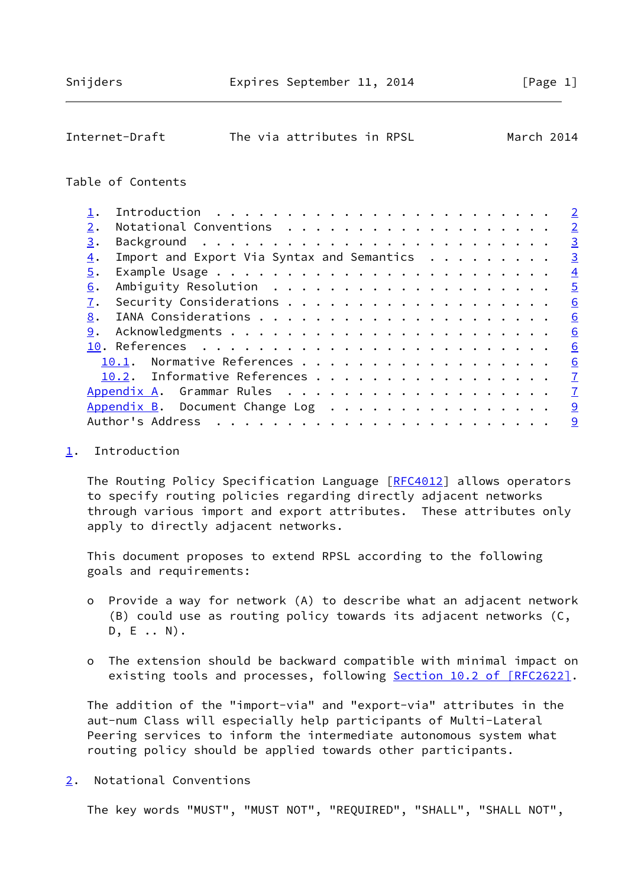<span id="page-1-1"></span>

| Internet-Draft |  | The via attributes in RPSL |  | March 2014 |  |
|----------------|--|----------------------------|--|------------|--|
|                |  |                            |  |            |  |

### Table of Contents

|    |                                            | $\overline{2}$ |
|----|--------------------------------------------|----------------|
| 2. |                                            | $\overline{2}$ |
| 3. |                                            | $\overline{3}$ |
| 4. | Import and Export Via Syntax and Semantics | $\overline{3}$ |
| 5. |                                            | $\overline{4}$ |
| 6. |                                            | $\overline{5}$ |
| 7. |                                            | 6              |
| 8. |                                            | 6              |
| 9. |                                            | 6              |
|    |                                            | 6              |
|    | 10.1. Normative References                 | 6              |
|    | 10.2. Informative References               | $\overline{1}$ |
|    |                                            | $\mathbf I$    |
|    | Appendix B. Document Change Log            | 9              |
|    | Author's Address                           | 9              |

<span id="page-1-0"></span>[1](#page-1-0). Introduction

The Routing Policy Specification Language [[RFC4012](https://datatracker.ietf.org/doc/pdf/rfc4012)] allows operators to specify routing policies regarding directly adjacent networks through various import and export attributes. These attributes only apply to directly adjacent networks.

 This document proposes to extend RPSL according to the following goals and requirements:

- o Provide a way for network (A) to describe what an adjacent network (B) could use as routing policy towards its adjacent networks (C, D, E .. N).
- o The extension should be backward compatible with minimal impact on existing tools and processes, following Section [10.2 of \[RFC2622\].](https://datatracker.ietf.org/doc/pdf/rfc2622#section-10.2)

 The addition of the "import-via" and "export-via" attributes in the aut-num Class will especially help participants of Multi-Lateral Peering services to inform the intermediate autonomous system what routing policy should be applied towards other participants.

<span id="page-1-2"></span>[2](#page-1-2). Notational Conventions

The key words "MUST", "MUST NOT", "REQUIRED", "SHALL", "SHALL NOT",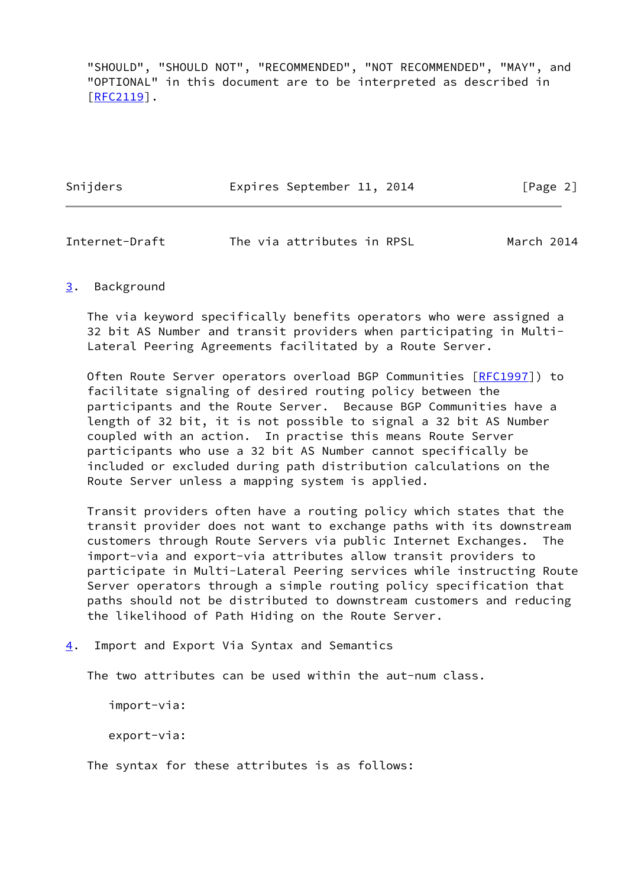"SHOULD", "SHOULD NOT", "RECOMMENDED", "NOT RECOMMENDED", "MAY", and "OPTIONAL" in this document are to be interpreted as described in [\[RFC2119](https://datatracker.ietf.org/doc/pdf/rfc2119)].

Snijders **Expires September 11, 2014** [Page 2]

<span id="page-2-1"></span>Internet-Draft The via attributes in RPSL March 2014

#### <span id="page-2-0"></span>[3](#page-2-0). Background

 The via keyword specifically benefits operators who were assigned a 32 bit AS Number and transit providers when participating in Multi- Lateral Peering Agreements facilitated by a Route Server.

 Often Route Server operators overload BGP Communities [[RFC1997](https://datatracker.ietf.org/doc/pdf/rfc1997)]) to facilitate signaling of desired routing policy between the participants and the Route Server. Because BGP Communities have a length of 32 bit, it is not possible to signal a 32 bit AS Number coupled with an action. In practise this means Route Server participants who use a 32 bit AS Number cannot specifically be included or excluded during path distribution calculations on the Route Server unless a mapping system is applied.

 Transit providers often have a routing policy which states that the transit provider does not want to exchange paths with its downstream customers through Route Servers via public Internet Exchanges. The import-via and export-via attributes allow transit providers to participate in Multi-Lateral Peering services while instructing Route Server operators through a simple routing policy specification that paths should not be distributed to downstream customers and reducing the likelihood of Path Hiding on the Route Server.

<span id="page-2-2"></span>[4](#page-2-2). Import and Export Via Syntax and Semantics

The two attributes can be used within the aut-num class.

import-via:

export-via:

The syntax for these attributes is as follows: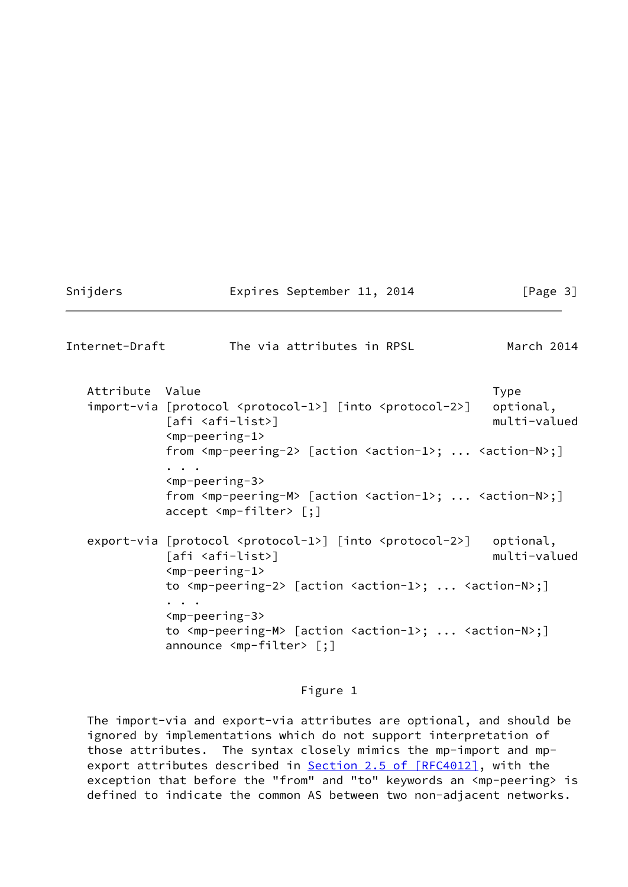## Snijders **Expires September 11, 2014** [Page 3]

<span id="page-3-0"></span>

| Internet-Draft  | The via attributes in RPSL                                                                                                                                                     | March 2014                        |
|-----------------|--------------------------------------------------------------------------------------------------------------------------------------------------------------------------------|-----------------------------------|
| Attribute Value | import-via [protocol <protocol-1>] [into <protocol-2>]<br/>[afi <afi-list>]<br/><math>&lt;</math>mp-peering-1&gt;</afi-list></protocol-2></protocol-1>                         | Type<br>optional,<br>multi-valued |
|                 | from $\langle mp-peering-2 \rangle$ [action $\langle action-1 \rangle$ ; $\langle action-N \rangle$ ;]                                                                         |                                   |
|                 | $mp-peering-3>$<br>from $\langle mp-peering-M \rangle$ [action $\langle action-1 \rangle$ ; $\langle action-N \rangle$ ;]<br>$accept$ <mp-filter> <math>[:]</math></mp-filter> |                                   |
|                 | export-via [protocol <protocol-1>] [into <protocol-2>]<br/>[afi <afi-list>]<br/><math>mp-peering-1&gt;</math></afi-list></protocol-2></protocol-1>                             | optional,<br>multi-valued         |
|                 | to $\langle mp-peering-2 \rangle$ [action $\langle action-1 \rangle$ ; $\langle action-N \rangle$ ;]                                                                           |                                   |
|                 | $\cdots$                                                                                                                                                                       |                                   |

 <mp-peering-3> to <mp-peering-M> [action <action-1>; ... <action-N>;] announce <mp-filter> [;]

## Figure 1

 The import-via and export-via attributes are optional, and should be ignored by implementations which do not support interpretation of those attributes. The syntax closely mimics the mp-import and mp- export attributes described in Section [2.5 of \[RFC4012\],](https://datatracker.ietf.org/doc/pdf/rfc4012#section-2.5) with the exception that before the "from" and "to" keywords an <mp-peering> is defined to indicate the common AS between two non-adjacent networks.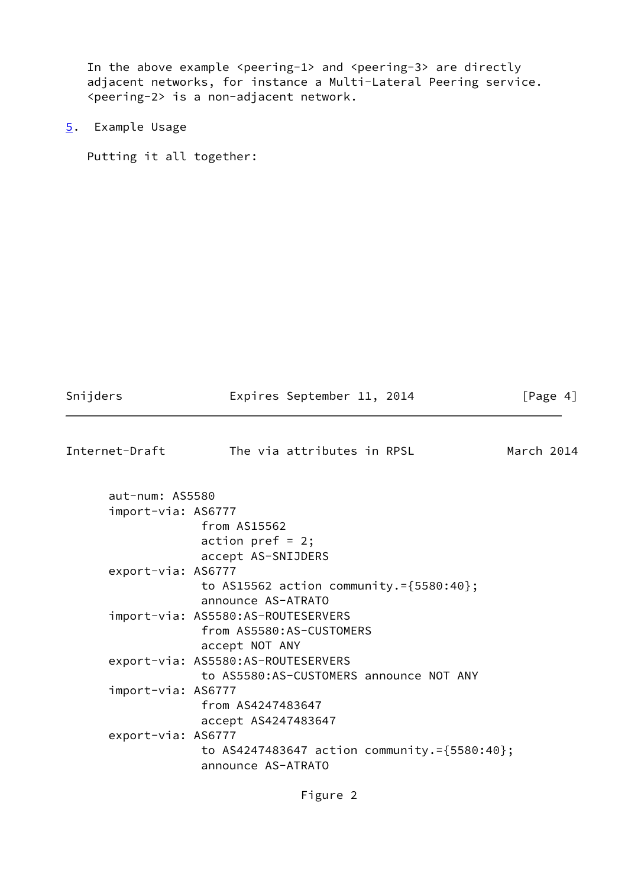In the above example <peering-1> and <peering-3> are directly adjacent networks, for instance a Multi-Lateral Peering service. <peering-2> is a non-adjacent network.

<span id="page-4-0"></span>[5](#page-4-0). Example Usage

Putting it all together:

Snijders **Expires September 11, 2014** [Page 4]

<span id="page-4-1"></span>

| Internet-Draft     | The via attributes in RPSL                                                       | March 2014 |  |
|--------------------|----------------------------------------------------------------------------------|------------|--|
| aut-num: AS5580    |                                                                                  |            |  |
| import-via: AS6777 | from AS15562<br>action $pref = 2;$<br>accept AS-SNIJDERS                         |            |  |
| export-via: AS6777 | to AS15562 action community.= ${5580:40}$ ;<br>announce AS-ATRATO                |            |  |
|                    | import-via: AS5580:AS-ROUTESERVERS<br>from AS5580:AS-CUSTOMERS<br>accept NOT ANY |            |  |
|                    | export-via: AS5580:AS-ROUTESERVERS<br>to AS5580:AS-CUSTOMERS announce NOT ANY    |            |  |
| import-via: AS6777 | from AS4247483647<br>accept AS4247483647                                         |            |  |
| export-via: AS6777 | to AS4247483647 action community.= ${5580:40}$ ;<br>announce AS-ATRATO           |            |  |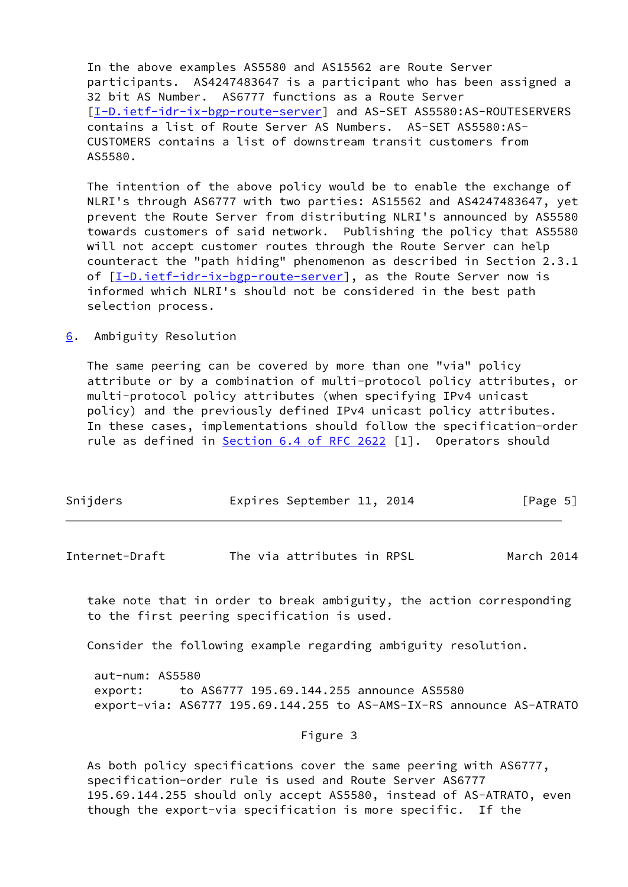In the above examples AS5580 and AS15562 are Route Server participants. AS4247483647 is a participant who has been assigned a 32 bit AS Number. AS6777 functions as a Route Server [\[I-D.ietf-idr-ix-bgp-route-server](#page-7-2)] and AS-SET AS5580:AS-ROUTESERVERS contains a list of Route Server AS Numbers. AS-SET AS5580:AS- CUSTOMERS contains a list of downstream transit customers from AS5580.

 The intention of the above policy would be to enable the exchange of NLRI's through AS6777 with two parties: AS15562 and AS4247483647, yet prevent the Route Server from distributing NLRI's announced by AS5580 towards customers of said network. Publishing the policy that AS5580 will not accept customer routes through the Route Server can help counteract the "path hiding" phenomenon as described in Section 2.3.1 of  $[I-D.iett-idr-ix-bgp-route-server]$ , as the Route Server now is informed which NLRI's should not be considered in the best path selection process.

<span id="page-5-0"></span>[6](#page-5-0). Ambiguity Resolution

 The same peering can be covered by more than one "via" policy attribute or by a combination of multi-protocol policy attributes, or multi-protocol policy attributes (when specifying IPv4 unicast policy) and the previously defined IPv4 unicast policy attributes. In these cases, implementations should follow the specification-order rule as defined in Section [6.4 of RFC 2622](https://datatracker.ietf.org/doc/pdf/rfc2622#section-6.4) [1]. Operators should

| Snijders | Expires September 11, 2014 |  | [Page 5] |  |
|----------|----------------------------|--|----------|--|
|          |                            |  |          |  |

<span id="page-5-1"></span>Internet-Draft The via attributes in RPSL March 2014

 take note that in order to break ambiguity, the action corresponding to the first peering specification is used.

Consider the following example regarding ambiguity resolution.

 aut-num: AS5580 export: to AS6777 195.69.144.255 announce AS5580 export-via: AS6777 195.69.144.255 to AS-AMS-IX-RS announce AS-ATRATO

Figure 3

 As both policy specifications cover the same peering with AS6777, specification-order rule is used and Route Server AS6777 195.69.144.255 should only accept AS5580, instead of AS-ATRATO, even though the export-via specification is more specific. If the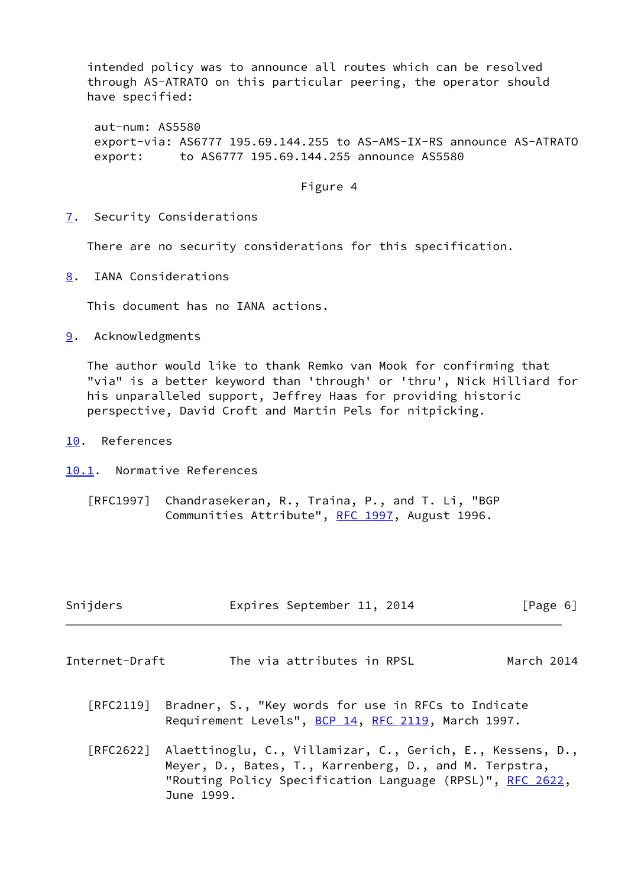intended policy was to announce all routes which can be resolved through AS-ATRATO on this particular peering, the operator should have specified:

 aut-num: AS5580 export-via: AS6777 195.69.144.255 to AS-AMS-IX-RS announce AS-ATRATO export: to AS6777 195.69.144.255 announce AS5580

Figure 4

<span id="page-6-0"></span>[7](#page-6-0). Security Considerations

There are no security considerations for this specification.

<span id="page-6-1"></span>[8](#page-6-1). IANA Considerations

This document has no IANA actions.

<span id="page-6-2"></span>[9](#page-6-2). Acknowledgments

 The author would like to thank Remko van Mook for confirming that "via" is a better keyword than 'through' or 'thru', Nick Hilliard for his unparalleled support, Jeffrey Haas for providing historic perspective, David Croft and Martin Pels for nitpicking.

- <span id="page-6-3"></span>[10.](#page-6-3) References
- <span id="page-6-4"></span>[10.1](#page-6-4). Normative References
	- [RFC1997] Chandrasekeran, R., Traina, P., and T. Li, "BGP Communities Attribute", [RFC 1997,](https://datatracker.ietf.org/doc/pdf/rfc1997) August 1996.

| Snijders | Expires September 11, 2014 | [Page 6] |
|----------|----------------------------|----------|
|          |                            |          |
|          |                            |          |

- <span id="page-6-5"></span>Internet-Draft The via attributes in RPSL March 2014
	- [RFC2119] Bradner, S., "Key words for use in RFCs to Indicate Requirement Levels", [BCP 14](https://datatracker.ietf.org/doc/pdf/bcp14), [RFC 2119](https://datatracker.ietf.org/doc/pdf/rfc2119), March 1997.
	- [RFC2622] Alaettinoglu, C., Villamizar, C., Gerich, E., Kessens, D., Meyer, D., Bates, T., Karrenberg, D., and M. Terpstra, "Routing Policy Specification Language (RPSL)", [RFC 2622,](https://datatracker.ietf.org/doc/pdf/rfc2622) June 1999.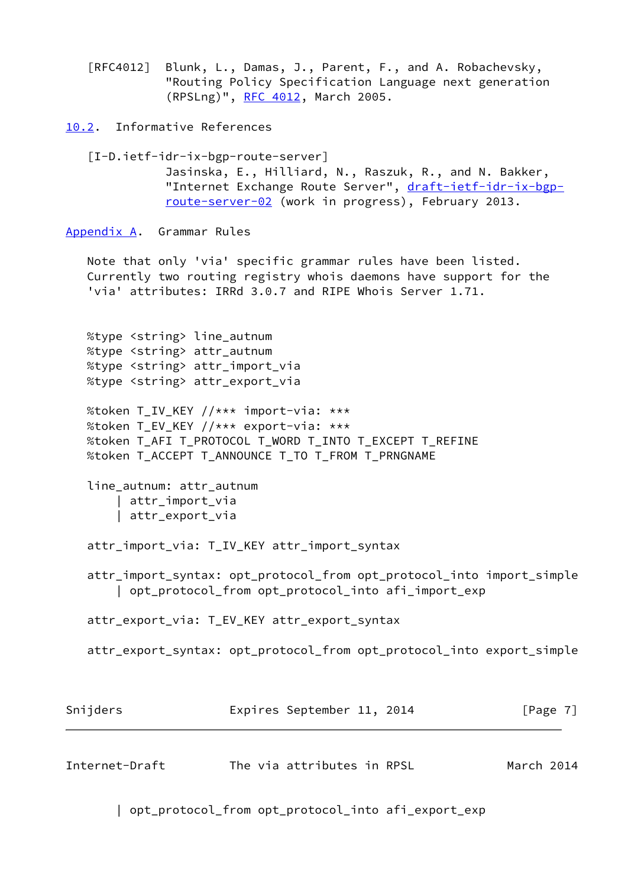[RFC4012] Blunk, L., Damas, J., Parent, F., and A. Robachevsky, "Routing Policy Specification Language next generation (RPSLng)", [RFC 4012](https://datatracker.ietf.org/doc/pdf/rfc4012), March 2005.

<span id="page-7-0"></span>[10.2](#page-7-0). Informative References

<span id="page-7-2"></span> [I-D.ietf-idr-ix-bgp-route-server] Jasinska, E., Hilliard, N., Raszuk, R., and N. Bakker, "Internet Exchange Route Server", [draft-ietf-idr-ix-bgp](https://datatracker.ietf.org/doc/pdf/draft-ietf-idr-ix-bgp-route-server-02) [route-server-02](https://datatracker.ietf.org/doc/pdf/draft-ietf-idr-ix-bgp-route-server-02) (work in progress), February 2013.

<span id="page-7-1"></span>[Appendix A.](#page-7-1) Grammar Rules

 Note that only 'via' specific grammar rules have been listed. Currently two routing registry whois daemons have support for the 'via' attributes: IRRd 3.0.7 and RIPE Whois Server 1.71.

 %type <string> line\_autnum %type <string> attr\_autnum %type <string> attr\_import\_via %type <string> attr\_export\_via

 %token T\_IV\_KEY //\*\*\* import-via: \*\*\* %token T\_EV\_KEY //\*\*\* export-via: \*\*\* %token T\_AFI T\_PROTOCOL T\_WORD T\_INTO T\_EXCEPT T\_REFINE %token T\_ACCEPT T\_ANNOUNCE T\_TO T\_FROM T\_PRNGNAME

 line\_autnum: attr\_autnum | attr\_import\_via | attr\_export\_via

attr\_import\_via: T\_IV\_KEY attr\_import\_syntax

attr\_import\_syntax: opt\_protocol\_from opt\_protocol\_into import\_simple | opt\_protocol\_from opt\_protocol\_into afi\_import\_exp

attr\_export\_via: T\_EV\_KEY attr\_export\_syntax

attr\_export\_syntax: opt\_protocol\_from opt\_protocol\_into export\_simple

| Snijders       | Expires September 11, 2014 | [Page 7]   |
|----------------|----------------------------|------------|
| Internet-Draft | The via attributes in RPSL | March 2014 |

| opt\_protocol\_from opt\_protocol\_into afi\_export\_exp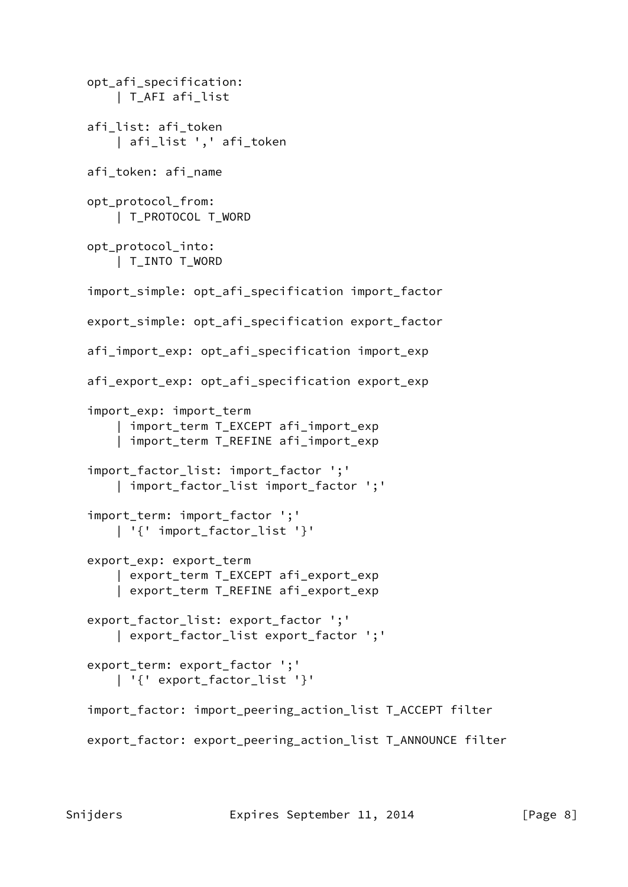```
 opt_afi_specification:
     | T_AFI afi_list
 afi_list: afi_token
     | afi_list ',' afi_token
 afi_token: afi_name
 opt_protocol_from:
     | T_PROTOCOL T_WORD
 opt_protocol_into:
     | T_INTO T_WORD
import simple: opt afi specification import factor
 export_simple: opt_afi_specification export_factor
 afi_import_exp: opt_afi_specification import_exp
 afi_export_exp: opt_afi_specification export_exp
 import_exp: import_term
     | import_term T_EXCEPT afi_import_exp
     | import_term T_REFINE afi_import_exp
 import_factor_list: import_factor ';'
     | import_factor_list import_factor ';'
 import_term: import_factor ';'
     | '{' import_factor_list '}'
 export_exp: export_term
     | export_term T_EXCEPT afi_export_exp
     | export_term T_REFINE afi_export_exp
 export_factor_list: export_factor ';'
     | export_factor_list export_factor ';'
 export_term: export_factor ';'
     | '{' export_factor_list '}'
 import_factor: import_peering_action_list T_ACCEPT filter
 export_factor: export_peering_action_list T_ANNOUNCE filter
```